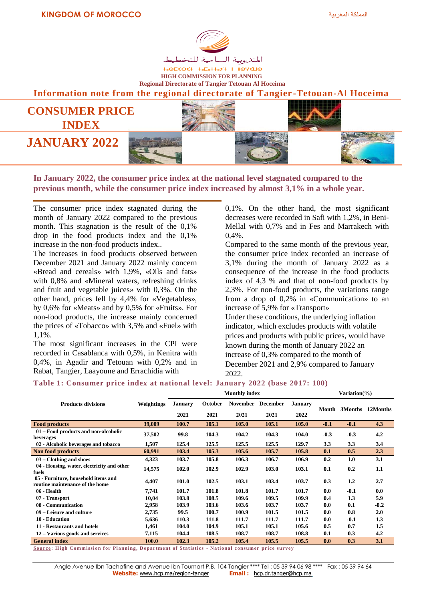

**+**<sup>OL</sup><br />
+-OL<br />
+-OL<br />
+-OL<br />
+-OL<br />
+-OL<br />
+-OL<br />
+-OL<br />
+-OL<br />
+-OL<br />
+-OL<br />
+-OL<br />
+-OL<br />
+-OL<br />
+-OL<br />
+-OL<br />
+-OL<br />
+-OL<br />
+-OL<br />
+-OL<br /> **HIGH COMMISSION FOR PLANNING Regional Directorate of Tangier Tetouan Al Hoceima**

**Information note from the regional directorate of Tangier -Tetouan-Al Hoceima**



**In January 2022, the consumer price index at the national level stagnated compared to the previous month, while the consumer price index increased by almost 3,1% in a whole year.**

The consumer price index stagnated during the month of January 2022 compared to the previous month. This stagnation is the result of the 0,1% drop in the food products index and the 0,1% increase in the non-food products index..

The increases in food products observed between December 2021 and January 2022 mainly concern «Bread and cereals» with 1,9%, «Oils and fats» with 0,8% and «Mineral waters, refreshing drinks and fruit and vegetable juices» with 0,3%. On the other hand, prices fell by 4,4% for «Vegetables», by 0,6% for «Meats» and by 0,5% for «Fruits». For non-food products, the increase mainly concerned the prices of «Tobacco» with 3,5% and «Fuel» with 1,1%.

The most significant increases in the CPI were recorded in Casablanca with 0,5%, in Kenitra with 0,4%, in Agadir and Tetouan with 0,2% and in Rabat, Tangier, Laayoune and Errachidia with

0,1%. On the other hand, the most significant decreases were recorded in Safi with 1,2%, in Beni-Mellal with 0,7% and in Fes and Marrakech with 0,4%.

Compared to the same month of the previous year, the consumer price index recorded an increase of 3,1% during the month of January 2022 as a consequence of the increase in the food products index of 4,3 % and that of non-food products by 2,3%. For non-food products, the variations range from a drop of 0,2% in «Communication» to an increase of 5,9% for «Transport»

Under these conditions, the underlying inflation indicator, which excludes products with volatile prices and products with public prices, would have known during the month of January 2022 an increase of 0,3% compared to the month of December 2021 and 2,9% compared to January 2022.

## **Table 1: Consumer price index at national level: January 2022 (base 2017: 100)**

|                                                                        |            |         | <b>Monthly index</b> | Variation $(\% )$ |                 |         |        |        |                  |
|------------------------------------------------------------------------|------------|---------|----------------------|-------------------|-----------------|---------|--------|--------|------------------|
| <b>Products divisions</b>                                              | Weightings | January | <b>October</b>       | <b>November</b>   | <b>December</b> | January |        |        |                  |
|                                                                        |            | 2021    | 2021                 | 2021              | 2021            | 2022    | Month  |        | 3Months 12Months |
| <b>Food products</b>                                                   | 39,009     | 100.7   | 105.1                | 105.0             | 105.1           | 105.0   | $-0.1$ | $-0.1$ | 4.3              |
| 01 – Food products and non-alcoholic<br>beverages                      | 37,502     | 99.8    | 104.3                | 104.2             | 104.3           | 104.0   | $-0.3$ | $-0.3$ | 4.2              |
| 02 - Alcoholic beverages and tobacco                                   | 1,507      | 125.4   | 125.5                | 125.5             | 125.5           | 129.7   | 3.3    | 3.3    | 3.4              |
| <b>Non food products</b>                                               | 60,991     | 103.4   | 105.3                | 105.6             | 105.7           | 105.8   | 0.1    | 0.5    | 2.3              |
| $03 - Clothing$ and shoes                                              | 4,323      | 103.7   | 105.8                | 106.3             | 106.7           | 106.9   | 0.2    | 1.0    | 3.1              |
| 04 - Housing, water, electricity and other<br>fuels                    | 14,575     | 102.0   | 102.9                | 102.9             | 103.0           | 103.1   | 0.1    | 0.2    | 1.1              |
| 05 - Furniture, household items and<br>routine maintenance of the home | 4,407      | 101.0   | 102.5                | 103.1             | 103.4           | 103.7   | 0.3    | 1.2    | 2.7              |
| 06 - Health                                                            | 7,741      | 101.7   | 101.8                | 101.8             | 101.7           | 101.7   | 0.0    | $-0.1$ | 0.0              |
| 07 - Transport                                                         | 10,04      | 103.8   | 108.5                | 109.6             | 109.5           | 109.9   | 0.4    | 1.3    | 5.9              |
| 08 - Communication                                                     | 2,958      | 103.9   | 103.6                | 103.6             | 103.7           | 103.7   | 0.0    | 0.1    | $-0.2$           |
| 09 – Leisure and culture                                               | 2,735      | 99.5    | 100.7                | 100.9             | 101.5           | 101.5   | 0.0    | 0.8    | 2.0              |
| 10 - Education                                                         | 5,636      | 110.3   | 111.8                | 111.7             | 111.7           | 111.7   | 0.0    | $-0.1$ | 1.3              |
| 11 - Restaurants and hotels                                            | 1,461      | 104.0   | 104.9                | 105.1             | 105.1           | 105.6   | 0.5    | 0.7    | 1.5              |
| 12 – Various goods and services                                        | 7,115      | 104.4   | 108.5                | 108.7             | 108.7           | 108.8   | 0.1    | 0.3    | 4.2              |
| <b>General index</b>                                                   | 100.0      | 102.3   | 105.2                | 105.4             | 105.5           | 105.5   | 0.0    | 0.3    | 3.1              |

**Source: High Commission for Planning, Department of Statistics - National consumer price survey**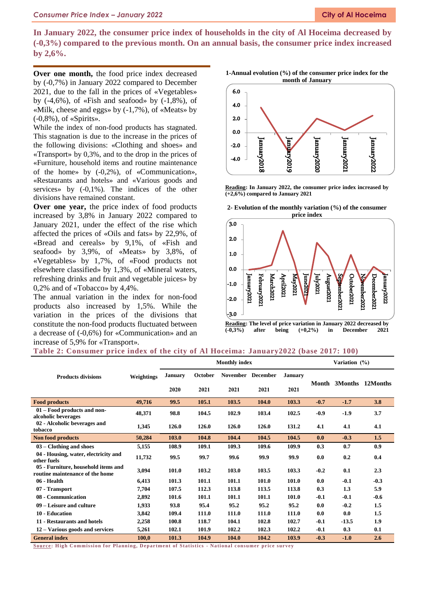**In January 2022, the consumer price index of households in the city of Al Hoceima decreased by (-0,3%) compared to the previous month. On an annual basis, the consumer price index increased by 2,6%.**

**Over one month,** the food price index decreased by (-0,7%) in January 2022 compared to December 2021, due to the fall in the prices of «Vegetables» by  $(-4,6\%)$ , of «Fish and seafood» by  $(-1,8\%)$ , of «Milk, cheese and eggs» by (-1,7%), of «Meats» by (-0,8%), of «Spirits».

While the index of non-food products has stagnated. This stagnation is due to the increase in the prices of the following divisions: «Clothing and shoes» and «Transport» by 0,3%, and to the drop in the prices of «Furniture, household items and routine maintenance of the home» by (-0,2%), of «Communication», «Restaurants and hotels» and «Various goods and services» by (-0,1%). The indices of the other divisions have remained constant.

**Over one year,** the price index of food products increased by 3,8% in January 2022 compared to January 2021, under the effect of the rise which affected the prices of «Oils and fats» by 22,9%, of «Bread and cereals» by 9,1%, of «Fish and seafood» by 3,9%, of «Meats» by 3,8%, of «Vegetables» by 1,7%, of «Food products not elsewhere classified» by 1,3%, of «Mineral waters, refreshing drinks and fruit and vegetable juices» by 0,2% and of «Tobacco» by 4,4%.

The annual variation in the index for non-food products also increased by 1,5%. While the variation in the prices of the divisions that constitute the non-food products fluctuated between a decrease of (-0,6%) for «Communication» and an increase of 5,9% for «Transport».





**Reading: In January 2022, the consumer price index increased by (+2,6%) compared to January 2021**

**2- Evolution of the monthly variation (%) of the consumer** 



| Table 2: Consumer price index of the city of Al Hoceima: January2022 (base 2017: 100) |  |  |  |  |  |  |
|---------------------------------------------------------------------------------------|--|--|--|--|--|--|
|---------------------------------------------------------------------------------------|--|--|--|--|--|--|

|                                                                        |            |                |                | <b>Monthly index</b> | Variation (%)   |                |        |         |          |
|------------------------------------------------------------------------|------------|----------------|----------------|----------------------|-----------------|----------------|--------|---------|----------|
| <b>Products divisions</b>                                              | Weightings | <b>January</b> | <b>October</b> | <b>November</b>      | <b>December</b> | <b>January</b> |        |         |          |
|                                                                        |            | 2020           | 2021           | 2021                 | 2021            | 2021           | Month  | 3Months | 12Months |
| <b>Food products</b>                                                   | 49,716     | 99.5           | 105.1          | 103.5                | 104.0           | 103.3          | $-0.7$ | $-1.7$  | 3.8      |
| 01 – Food products and non-<br>alcoholic beverages                     | 48,371     | 98.8           | 104.5          | 102.9                | 103.4           | 102.5          | $-0.9$ | $-1.9$  | 3.7      |
| 02 - Alcoholic beverages and<br>tobacco                                | 1,345      | 126.0          | 126.0          | 126.0                | 126.0           | 131.2          | 4.1    | 4.1     | 4.1      |
| Non food products                                                      | 50,284     | 103.0          | 104.8          | 104.4                | 104.5           | 104.5          | 0.0    | $-0.3$  | 1.5      |
| $03 -$ Clothing and shoes                                              | 5,155      | 108.9          | 109.1          | 109.3                | 109.6           | 109.9          | 0.3    | 0.7     | 0.9      |
| 04 - Housing, water, electricity and<br>other fuels                    | 11,732     | 99.5           | 99.7           | 99.6                 | 99.9            | 99.9           | 0.0    | 0.2     | 0.4      |
| 05 - Furniture, household items and<br>routine maintenance of the home | 3,094      | 101.0          | 103.2          | 103.0                | 103.5           | 103.3          | $-0.2$ | 0.1     | 2.3      |
| 06 - Health                                                            | 6,413      | 101.3          | 101.1          | 101.1                | 101.0           | 101.0          | 0.0    | $-0.1$  | $-0.3$   |
| 07 - Transport                                                         | 7,704      | 107.5          | 112.3          | 113.8                | 113.5           | 113.8          | 0.3    | 1.3     | 5.9      |
| 08 - Communication                                                     | 2,892      | 101.6          | 101.1          | 101.1                | 101.1           | 101.0          | $-0.1$ | $-0.1$  | $-0.6$   |
| 09 – Leisure and culture                                               | 1,933      | 93.8           | 95.4           | 95.2                 | 95.2            | 95.2           | 0.0    | $-0.2$  | 1.5      |
| 10 - Education                                                         | 3,842      | 109.4          | 111.0          | 111.0                | 111.0           | 111.0          | 0.0    | 0.0     | 1.5      |
| 11 - Restaurants and hotels                                            | 2,258      | 100.8          | 118.7          | 104.1                | 102.8           | 102.7          | $-0.1$ | $-13.5$ | 1.9      |
| 12 – Various goods and services                                        | 5,261      | 102.1          | 101.9          | 102.2                | 102.3           | 102.2          | $-0.1$ | 0.3     | 0.1      |
| <b>General index</b>                                                   | 100,0      | 101.3          | 104.9          | 104.0                | 104.2           | 103.9          | $-0.3$ | $-1.0$  | 2.6      |

**Source: High Commission for Planning, Department of Statistics - National consumer price survey**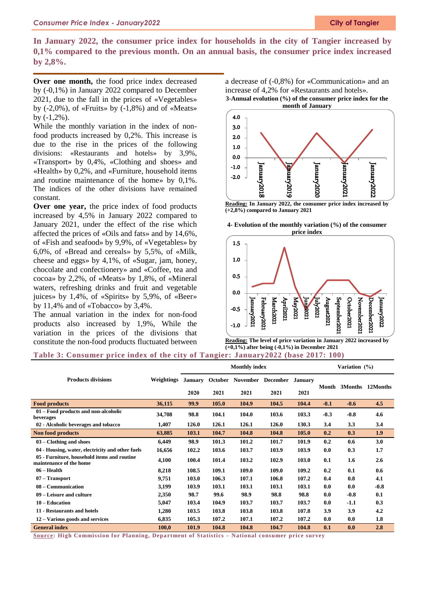**In January 2022, the consumer price index for households in the city of Tangier increased by 0,1% compared to the previous month. On an annual basis, the consumer price index increased by 2,8%.**

**Over one month,** the food price index decreased by (-0,1%) in January 2022 compared to December 2021, due to the fall in the prices of «Vegetables» by  $(-2.0\%)$ , of «Fruits» by  $(-1.8\%)$  and of «Meats» by (-1,2%).

While the monthly variation in the index of nonfood products increased by 0,2%. This increase is due to the rise in the prices of the following divisions: «Restaurants and hotels» by 3,9%, «Transport» by 0,4%, «Clothing and shoes» and «Health» by 0,2%, and «Furniture, household items and routine maintenance of the home» by 0,1%. The indices of the other divisions have remained constant.

**Over one year,** the price index of food products increased by 4,5% in January 2022 compared to January 2021, under the effect of the rise which affected the prices of «Oils and fats» and by 14,6%, of «Fish and seafood» by 9,9%, of «Vegetables» by 6,0%, of «Bread and cereals» by 5,5%, of «Milk, cheese and eggs» by 4,1%, of «Sugar, jam, honey, chocolate and confectionery» and «Coffee, tea and cocoa» by 2,2%, of «Meats» by 1,8%, of «Mineral waters, refreshing drinks and fruit and vegetable juices» by 1,4%, of «Spirits» by 5,9%, of «Beer» by 11,4% and of «Tobacco» by 3,4%.

The annual variation in the index for non-food products also increased by 1,9%, While the variation in the prices of the divisions that constitute the non-food products fluctuated between

a decrease of (-0,8%) for «Communication» and an increase of 4,2% for «Restaurants and hotels».

**3-Annual evolution (%) of the consumer price index for the month of January**



**Reading: In January 2022, the consumer price index increased by (+2,8%) compared to January 2021**





**Reading: The level of price variation in January 2022 increased by (+0,1%) after being (-0,1%) in December 2021**

## **Table 3: Consumer price index of the city of Tangier: January2022 (base 2017: 100)**

|                                                                        | <b>Monthly index</b> |                        |       |                                   |       |                        |        | Variation (%) |          |  |  |
|------------------------------------------------------------------------|----------------------|------------------------|-------|-----------------------------------|-------|------------------------|--------|---------------|----------|--|--|
| <b>Products divisions</b>                                              | Weightings           | <b>January</b><br>2020 | 2021  | October November December<br>2021 | 2021  | <b>January</b><br>2021 | Month  | 3Months       | 12Months |  |  |
| <b>Food products</b>                                                   | 36,115               | 99.9                   | 105.0 | 104.9                             | 104.5 | 104.4                  | $-0.1$ | $-0.6$        | 4.5      |  |  |
| 01 – Food products and non-alcoholic<br>beverages                      | 34,708               | 98.8                   | 104.1 | 104.0                             | 103.6 | 103.3                  | $-0.3$ | $-0.8$        | 4.6      |  |  |
| 02 - Alcoholic beverages and tobacco                                   | 1,407                | 126.0                  | 126.1 | 126.1                             | 126.0 | 130.3                  | 3.4    | 3.3           | 3.4      |  |  |
| <b>Non food products</b>                                               | 63,885               | 103.1                  | 104.7 | 104.8                             | 104.8 | 105.0                  | 0.2    | 0.3           | 1.9      |  |  |
| $03 - Clothing$ and shoes                                              | 6,449                | 98.9                   | 101.3 | 101.2                             | 101.7 | 101.9                  | 0.2    | 0.6           | 3.0      |  |  |
| 04 - Housing, water, electricity and other fuels                       | 16,656               | 102.2                  | 103.6 | 103.7                             | 103.9 | 103.9                  | 0.0    | 0.3           | 1.7      |  |  |
| 05 - Furniture, household items and routine<br>maintenance of the home | 4,100                | 100.4                  | 101.4 | 103.2                             | 102.9 | 103.0                  | 0.1    | 1.6           | 2.6      |  |  |
| $06 - Health$                                                          | 8,218                | 108.5                  | 109.1 | 109.0                             | 109.0 | 109.2                  | 0.2    | 0.1           | 0.6      |  |  |
| $07 - Transport$                                                       | 9,751                | 103.0                  | 106.3 | 107.1                             | 106.8 | 107.2                  | 0.4    | 0.8           | 4.1      |  |  |
| 08 – Communication                                                     | 3,199                | 103.9                  | 103.1 | 103.1                             | 103.1 | 103.1                  | 0.0    | 0.0           | $-0.8$   |  |  |
| 09 – Leisure and culture                                               | 2,350                | 98.7                   | 99.6  | 98.9                              | 98.8  | 98.8                   | 0.0    | $-0.8$        | 0.1      |  |  |
| 10 – Education                                                         | 5,047                | 103.4                  | 104.9 | 103.7                             | 103.7 | 103.7                  | 0.0    | $-1.1$        | 0.3      |  |  |
| 11 - Restaurants and hotels                                            | 1,280                | 103.5                  | 103.8 | 103.8                             | 103.8 | 107.8                  | 3.9    | 3.9           | 4.2      |  |  |
| 12 – Various goods and services                                        | 6,835                | 105.3                  | 107.2 | 107.1                             | 107.2 | 107.2                  | 0.0    | 0.0           | 1.8      |  |  |
| <b>General index</b>                                                   | 100,0                | 101.9                  | 104.8 | 104.8                             | 104.7 | 104.8                  | 0.1    | 0.0           | 2.8      |  |  |

**Source: High Commission for Planning, Depa rtment of Statistics – National consumer price survey**